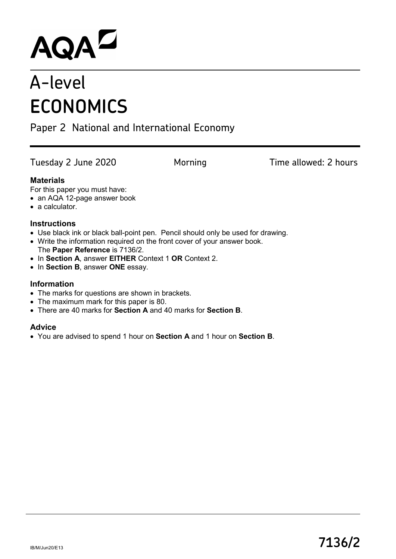# AQAD

# A-level **ECONOMICS**

## Paper 2 National and International Economy

Tuesday 2 June 2020 Morning Time allowed: 2 hours

#### **Materials**

For this paper you must have:

- an AQA 12-page answer book
- a calculator.

#### **Instructions**

- Use black ink or black ball-point pen. Pencil should only be used for drawing.
- Write the information required on the front cover of your answer book. The **Paper Reference** is 7136/2.
- In **Section A**, answer **EITHER** Context 1 **OR** Context 2.
- In **Section B**, answer **ONE** essay.

#### **Information**

- The marks for questions are shown in brackets.
- The maximum mark for this paper is 80.
- There are 40 marks for **Section A** and 40 marks for **Section B**.

#### **Advice**

• You are advised to spend 1 hour on **Section A** and 1 hour on **Section B**.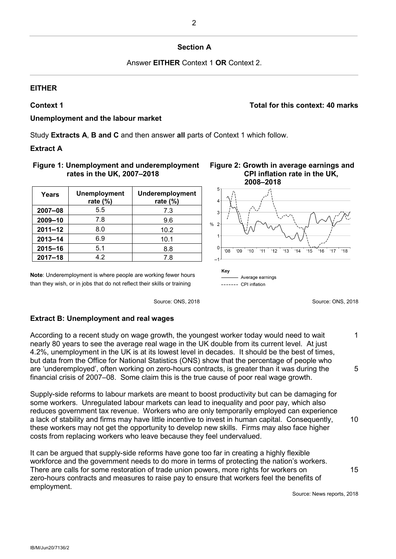#### **Section A**

Answer **EITHER** Context 1 **OR** Context 2.

#### **EITHER**

**Context 1 Total for this context: 40 marks**

#### **Unemployment and the labour market**

Study **Extracts A**, **B and C** and then answer **all** parts of Context 1 which follow.

#### **Extract A**

#### **Figure 1: Unemployment and underemployment rates in the UK, 2007–2018**

| Years       | <b>Unemployment</b><br>rate $(\%)$ | Underemployment<br>rate $(\%)$ |
|-------------|------------------------------------|--------------------------------|
| $2007 - 08$ | 5.5                                | 7.3                            |
| $2009 - 10$ | 7.8                                | 9.6                            |
| $2011 - 12$ | 8.0                                | 10.2                           |
| $2013 - 14$ | 6.9                                | 10.1                           |
| $2015 - 16$ | 5.1                                | 8.8                            |
| $2017 - 18$ | 42                                 | 7.8                            |

**Note**: Underemployment is where people are working fewer hours than they wish, or in jobs that do not reflect their skills or training

### **Figure 2: Growth in average earnings and CPI inflation rate in the UK,**



Source: ONS, 2018 Source: ONS, 2018

1

5

15

#### **Extract B: Unemployment and real wages**

According to a recent study on wage growth, the youngest worker today would need to wait nearly 80 years to see the average real wage in the UK double from its current level. At just 4.2%, unemployment in the UK is at its lowest level in decades. It should be the best of times, but data from the Office for National Statistics (ONS) show that the percentage of people who are 'underemployed', often working on zero-hours contracts, is greater than it was during the financial crisis of 2007–08. Some claim this is the true cause of poor real wage growth.

Supply-side reforms to labour markets are meant to boost productivity but can be damaging for some workers. Unregulated labour markets can lead to inequality and poor pay, which also reduces government tax revenue. Workers who are only temporarily employed can experience a lack of stability and firms may have little incentive to invest in human capital. Consequently, these workers may not get the opportunity to develop new skills. Firms may also face higher costs from replacing workers who leave because they feel undervalued. 10

It can be argued that supply-side reforms have gone too far in creating a highly flexible workforce and the government needs to do more in terms of protecting the nation's workers. There are calls for some restoration of trade union powers, more rights for workers on zero-hours contracts and measures to raise pay to ensure that workers feel the benefits of employment.

Source: News reports, 2018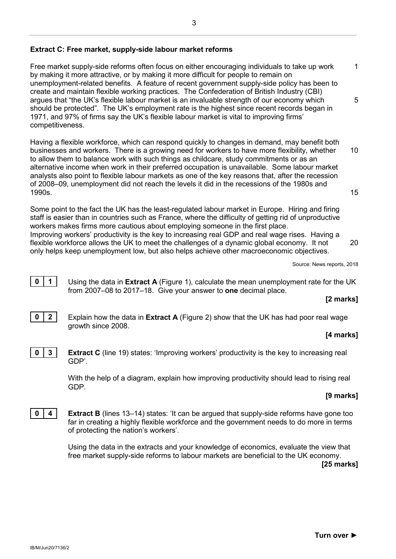#### **Extract C: Free market, supply-side labour market reforms**

Free market supply-side reforms often focus on either encouraging individuals to take up work by making it more attractive, or by making it more difficult for people to remain on unemployment-related benefits. A feature of recent government supply-side policy has been to create and maintain flexible working practices. The Confederation of British Industry (CBI) argues that "the UK's flexible labour market is an invaluable strength of our economy which should be protected". The UK's employment rate is the highest since recent records began in 1971, and 97% of firms say the UK's flexible labour market is vital to improving firms' competitiveness. 1 5

Having a flexible workforce, which can respond quickly to changes in demand, may benefit both businesses and workers. There is a growing need for workers to have more flexibility, whether to allow them to balance work with such things as childcare, study commitments or as an alternative income when work in their preferred occupation is unavailable. Some labour market analysts also point to flexible labour markets as one of the key reasons that, after the recession of 2008–09, unemployment did not reach the levels it did in the recessions of the 1980s and 1990s. 10 15

Some point to the fact the UK has the least-regulated labour market in Europe. Hiring and firing staff is easier than in countries such as France, where the difficulty of getting rid of unproductive workers makes firms more cautious about employing someone in the first place. Improving workers' productivity is the key to increasing real GDP and real wage rises. Having a flexible workforce allows the UK to meet the challenges of a dynamic global economy. It not only helps keep unemployment low, but also helps achieve other macroeconomic objectives.

Source: News reports, 2018

**0** | **1** | Using the data in **Extract A** (Figure 1), calculate the mean unemployment rate for the UK from 2007–08 to 2017–18. Give your answer to **one** decimal place.

#### **[2 marks]**

20



#### **[4 marks]**



**0 3 Extract C** (line 19) states: 'Improving workers' productivity is the key to increasing real GDP'.

> With the help of a diagram, explain how improving productivity should lead to rising real GDP.

#### **[9 marks]**

**0 4 Extract B** (lines 13–14) states: 'It can be argued that supply-side reforms have gone too far in creating a highly flexible workforce and the government needs to do more in terms of protecting the nation's workers'.

> Using the data in the extracts and your knowledge of economics, evaluate the view that free market supply-side reforms to labour markets are beneficial to the UK economy.

**[25 marks]**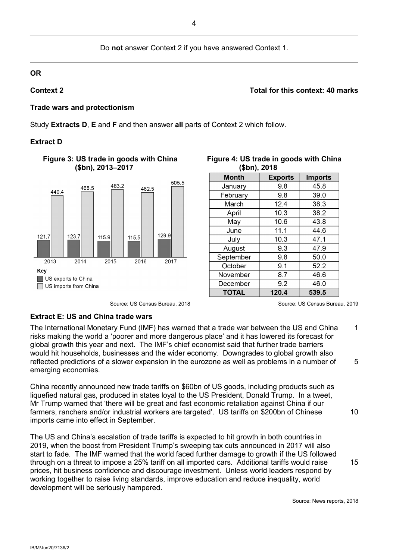#### Do **not** answer Context 2 if you have answered Context 1.

#### **OR**

#### **Context 2 Total for this context: 40 marks**

#### **Trade wars and protectionism**

Study **Extracts D**, **E** and **F** and then answer **all** parts of Context 2 which follow.

#### **Extract D**



#### **Figure 3: US trade in goods with China (\$bn), 2013–2017**

Source: US Census Bureau, 2018 Source: US Census Bureau, 2019

| (\$DN), 2018 |                |                |  |
|--------------|----------------|----------------|--|
| <b>Month</b> | <b>Exports</b> | <b>Imports</b> |  |
| January      | 9.8            | 45.8           |  |
| February     | 9.8            | 39.0           |  |
| March        | 12.4           | 38.3           |  |
| April        | 10.3           | 38.2           |  |
| May          | 10.6           | 43.8           |  |
| June         | 11.1           | 44.6           |  |
| July         | 10.3           | 47.1           |  |
| August       | 9.3            | 47.9           |  |
| September    | 9.8            | 50.0           |  |
| October      | 9.1            | 52.2           |  |
| November     | 8.7            | 46.6           |  |
| December     | 9.2            | 46.0           |  |
| <b>TOTAL</b> | 120.4          | 539.5          |  |

#### **Figure 4: US trade in goods with China (\$bn), 2018**

#### **Extract E: US and China trade wars**

The International Monetary Fund (IMF) has warned that a trade war between the US and China risks making the world a 'poorer and more dangerous place' and it has lowered its forecast for global growth this year and next. The IMF's chief economist said that further trade barriers would hit households, businesses and the wider economy. Downgrades to global growth also reflected predictions of a slower expansion in the eurozone as well as problems in a number of emerging economies. 1 5

China recently announced new trade tariffs on \$60bn of US goods, including products such as liquefied natural gas, produced in states loyal to the US President, Donald Trump. In a tweet, Mr Trump warned that 'there will be great and fast economic retaliation against China if our farmers, ranchers and/or industrial workers are targeted'. US tariffs on \$200bn of Chinese imports came into effect in September.

The US and China's escalation of trade tariffs is expected to hit growth in both countries in 2019, when the boost from President Trump's sweeping tax cuts announced in 2017 will also start to fade. The IMF warned that the world faced further damage to growth if the US followed through on a threat to impose a 25% tariff on all imported cars. Additional tariffs would raise prices, hit business confidence and discourage investment. Unless world leaders respond by working together to raise living standards, improve education and reduce inequality, world development will be seriously hampered.

10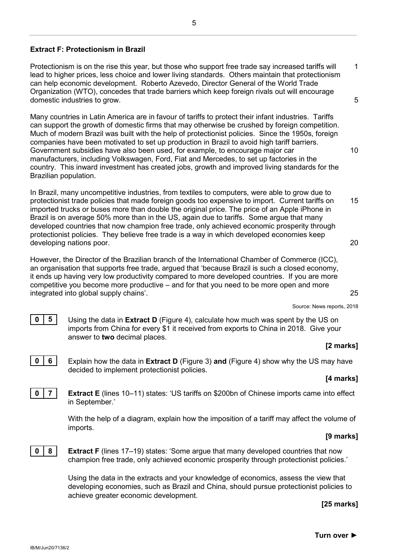#### **Extract F: Protectionism in Brazil**

Protectionism is on the rise this year, but those who support free trade say increased tariffs will lead to higher prices, less choice and lower living standards. Others maintain that protectionism can help economic development. Roberto Azevedo, Director General of the World Trade Organization (WTO), concedes that trade barriers which keep foreign rivals out will encourage domestic industries to grow. 1 5

Many countries in Latin America are in favour of tariffs to protect their infant industries. Tariffs can support the growth of domestic firms that may otherwise be crushed by foreign competition. Much of modern Brazil was built with the help of protectionist policies. Since the 1950s, foreign companies have been motivated to set up production in Brazil to avoid high tariff barriers. Government subsidies have also been used, for example, to encourage major car manufacturers, including Volkswagen, Ford, Fiat and Mercedes, to set up factories in the country. This inward investment has created jobs, growth and improved living standards for the Brazilian population.

In Brazil, many uncompetitive industries, from textiles to computers, were able to grow due to protectionist trade policies that made foreign goods too expensive to import. Current tariffs on imported trucks or buses more than double the original price. The price of an Apple iPhone in Brazil is on average 50% more than in the US, again due to tariffs. Some argue that many developed countries that now champion free trade, only achieved economic prosperity through protectionist policies. They believe free trade is a way in which developed economies keep developing nations poor. 15 20

However, the Director of the Brazilian branch of the International Chamber of Commerce (ICC), an organisation that supports free trade, argued that 'because Brazil is such a closed economy, it ends up having very low productivity compared to more developed countries. If you are more competitive you become more productive – and for that you need to be more open and more integrated into global supply chains'.

Source: News reports, 2018

**0 5** Using the data in **Extract D** (Figure 4), calculate how much was spent by the US on imports from China for every \$1 it received from exports to China in 2018. Give your answer to **two** decimal places.

#### **[2 marks]**

25

10

**0 6** Explain how the data in **Extract D** (Figure 3) **and** (Figure 4) show why the US may have decided to implement protectionist policies.

#### **[4 marks]**

**0 7 Extract E** (lines 10–11) states: 'US tariffs on \$200bn of Chinese imports came into effect in September.'

> With the help of a diagram, explain how the imposition of a tariff may affect the volume of imports.

#### **[9 marks]**



**0 8 Extract F** (lines 17–19) states: 'Some argue that many developed countries that now champion free trade, only achieved economic prosperity through protectionist policies.'

> Using the data in the extracts and your knowledge of economics, assess the view that developing economies, such as Brazil and China, should pursue protectionist policies to achieve greater economic development.

> > **[25 marks]**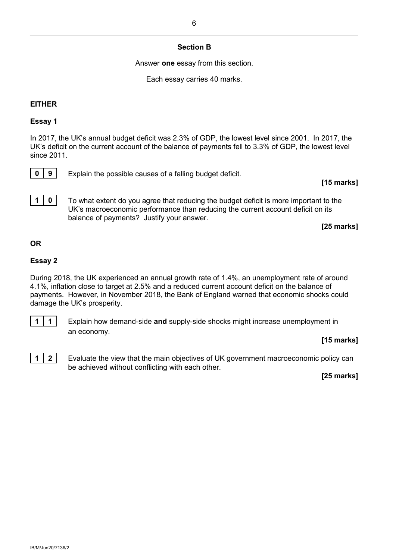#### **Section B**

Answer **one** essay from this section.

Each essay carries 40 marks.

#### **EITHER**

#### **Essay 1**

In 2017, the UK's annual budget deficit was 2.3% of GDP, the lowest level since 2001. In 2017, the UK's deficit on the current account of the balance of payments fell to 3.3% of GDP, the lowest level since 2011.



**0 9** Explain the possible causes of a falling budget deficit.

#### **[15 marks]**

**1 0** To what extent do you agree that reducing the budget deficit is more important to the UK's macroeconomic performance than reducing the current account deficit on its balance of payments? Justify your answer.

**[25 marks]**

#### **OR**

#### **Essay 2**

During 2018, the UK experienced an annual growth rate of 1.4%, an unemployment rate of around 4.1%, inflation close to target at 2.5% and a reduced current account deficit on the balance of payments. However, in November 2018, the Bank of England warned that economic shocks could damage the UK's prosperity.



**1 1** Explain how demand-side **and** supply-side shocks might increase unemployment in an economy.

#### **[15 marks]**



**1** | **2** | Evaluate the view that the main objectives of UK government macroeconomic policy can be achieved without conflicting with each other.

**[25 marks]**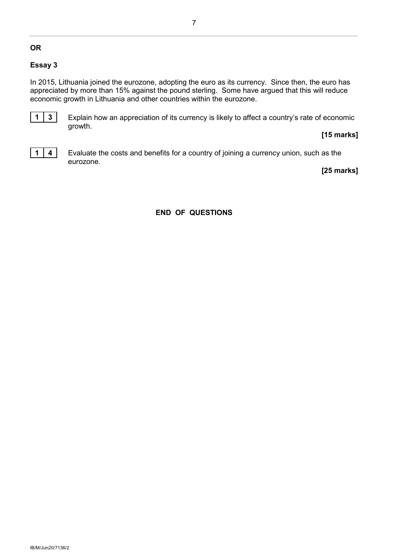#### **OR**

#### **Essay 3**

In 2015, Lithuania joined the eurozone, adopting the euro as its currency. Since then, the euro has appreciated by more than 15% against the pound sterling. Some have argued that this will reduce economic growth in Lithuania and other countries within the eurozone.



**1 3** Explain how an appreciation of its currency is likely to affect a country's rate of economic growth.

#### **[15 marks]**



**1** | **4** | Evaluate the costs and benefits for a country of joining a currency union, such as the eurozone.

**[25 marks]**

#### **END OF QUESTIONS**